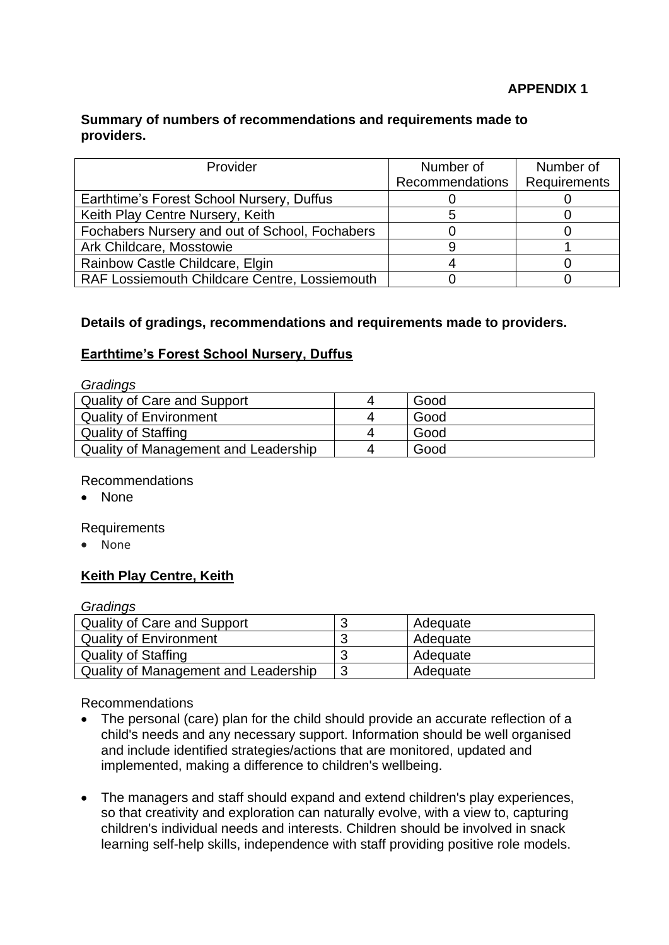## **APPENDIX 1**

### **Summary of numbers of recommendations and requirements made to providers.**

| Provider                                       | Number of              | Number of           |
|------------------------------------------------|------------------------|---------------------|
|                                                | <b>Recommendations</b> | <b>Requirements</b> |
| Earthtime's Forest School Nursery, Duffus      |                        |                     |
| Keith Play Centre Nursery, Keith               |                        |                     |
| Fochabers Nursery and out of School, Fochabers |                        |                     |
| Ark Childcare, Mosstowie                       |                        |                     |
| Rainbow Castle Childcare, Elgin                |                        |                     |
| RAF Lossiemouth Childcare Centre, Lossiemouth  |                        |                     |

## **Details of gradings, recommendations and requirements made to providers.**

# **Earthtime's Forest School Nursery, Duffus**

| Gradings                             |   |      |
|--------------------------------------|---|------|
| <b>Quality of Care and Support</b>   |   | Good |
| <b>Quality of Environment</b>        | 4 | Good |
| <b>Quality of Staffing</b>           | 4 | Good |
| Quality of Management and Leadership |   | Good |

### Recommendations

• None

### Requirements

• None

# **Keith Play Centre, Keith**

### *Gradings*

| <b>Quality of Care and Support</b>   | Adequate |
|--------------------------------------|----------|
| <b>Quality of Environment</b>        | Adequate |
| <b>Quality of Staffing</b>           | Adequate |
| Quality of Management and Leadership | Adequate |

Recommendations

- The personal (care) plan for the child should provide an accurate reflection of a child's needs and any necessary support. Information should be well organised and include identified strategies/actions that are monitored, updated and implemented, making a difference to children's wellbeing.
- The managers and staff should expand and extend children's play experiences, so that creativity and exploration can naturally evolve, with a view to, capturing children's individual needs and interests. Children should be involved in snack learning self-help skills, independence with staff providing positive role models.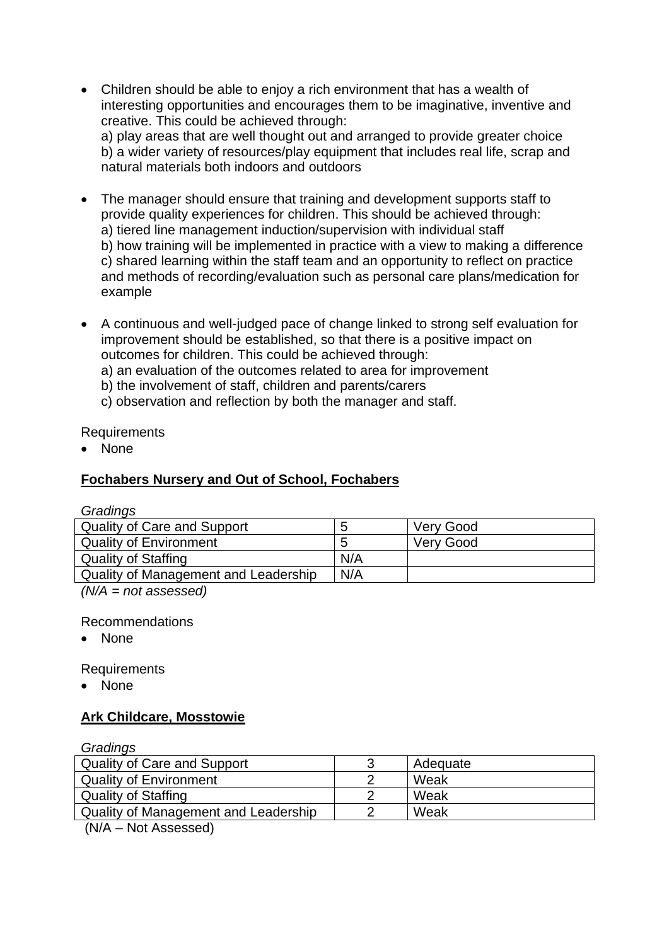- Children should be able to enjoy a rich environment that has a wealth of interesting opportunities and encourages them to be imaginative, inventive and creative. This could be achieved through: a) play areas that are well thought out and arranged to provide greater choice b) a wider variety of resources/play equipment that includes real life, scrap and natural materials both indoors and outdoors
- The manager should ensure that training and development supports staff to provide quality experiences for children. This should be achieved through: a) tiered line management induction/supervision with individual staff b) how training will be implemented in practice with a view to making a difference c) shared learning within the staff team and an opportunity to reflect on practice and methods of recording/evaluation such as personal care plans/medication for example
- A continuous and well-judged pace of change linked to strong self evaluation for improvement should be established, so that there is a positive impact on outcomes for children. This could be achieved through:

a) an evaluation of the outcomes related to area for improvement

- b) the involvement of staff, children and parents/carers
- c) observation and reflection by both the manager and staff.

# Requirements

• None

# **Fochabers Nursery and Out of School, Fochabers**

## *Gradings*

| <b>Quality of Care and Support</b>   | C   | <b>Very Good</b> |
|--------------------------------------|-----|------------------|
| <b>Quality of Environment</b>        | O   | <b>Very Good</b> |
| <b>Quality of Staffing</b>           | N/A |                  |
| Quality of Management and Leadership | N/A |                  |
| .                                    |     |                  |

*(N/A = not assessed)*

Recommendations

• None

Requirements

• None

# **Ark Childcare, Mosstowie**

| Gradings                             |   |          |
|--------------------------------------|---|----------|
| <b>Quality of Care and Support</b>   | 3 | Adequate |
| <b>Quality of Environment</b>        |   | Weak     |
| <b>Quality of Staffing</b>           |   | Weak     |
| Quality of Management and Leadership |   | Weak     |

(N/A – Not Assessed)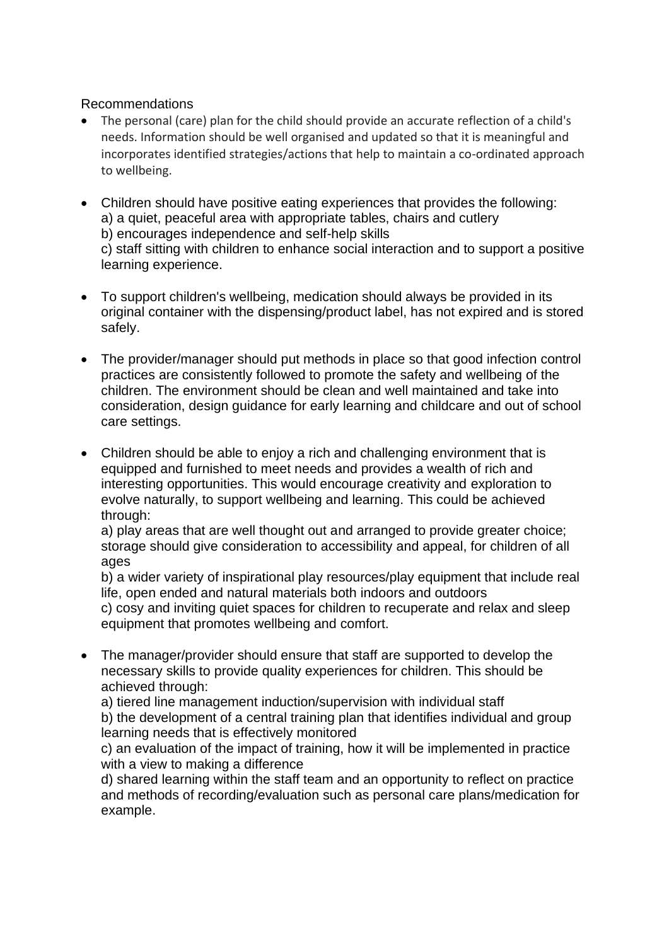## Recommendations

- The personal (care) plan for the child should provide an accurate reflection of a child's needs. Information should be well organised and updated so that it is meaningful and incorporates identified strategies/actions that help to maintain a co-ordinated approach to wellbeing.
- Children should have positive eating experiences that provides the following: a) a quiet, peaceful area with appropriate tables, chairs and cutlery b) encourages independence and self-help skills c) staff sitting with children to enhance social interaction and to support a positive learning experience.
- To support children's wellbeing, medication should always be provided in its original container with the dispensing/product label, has not expired and is stored safely.
- The provider/manager should put methods in place so that good infection control practices are consistently followed to promote the safety and wellbeing of the children. The environment should be clean and well maintained and take into consideration, design guidance for early learning and childcare and out of school care settings.
- Children should be able to enjoy a rich and challenging environment that is equipped and furnished to meet needs and provides a wealth of rich and interesting opportunities. This would encourage creativity and exploration to evolve naturally, to support wellbeing and learning. This could be achieved through:

a) play areas that are well thought out and arranged to provide greater choice; storage should give consideration to accessibility and appeal, for children of all ages

b) a wider variety of inspirational play resources/play equipment that include real life, open ended and natural materials both indoors and outdoors c) cosy and inviting quiet spaces for children to recuperate and relax and sleep equipment that promotes wellbeing and comfort.

• The manager/provider should ensure that staff are supported to develop the necessary skills to provide quality experiences for children. This should be achieved through:

a) tiered line management induction/supervision with individual staff b) the development of a central training plan that identifies individual and group learning needs that is effectively monitored

c) an evaluation of the impact of training, how it will be implemented in practice with a view to making a difference

d) shared learning within the staff team and an opportunity to reflect on practice and methods of recording/evaluation such as personal care plans/medication for example.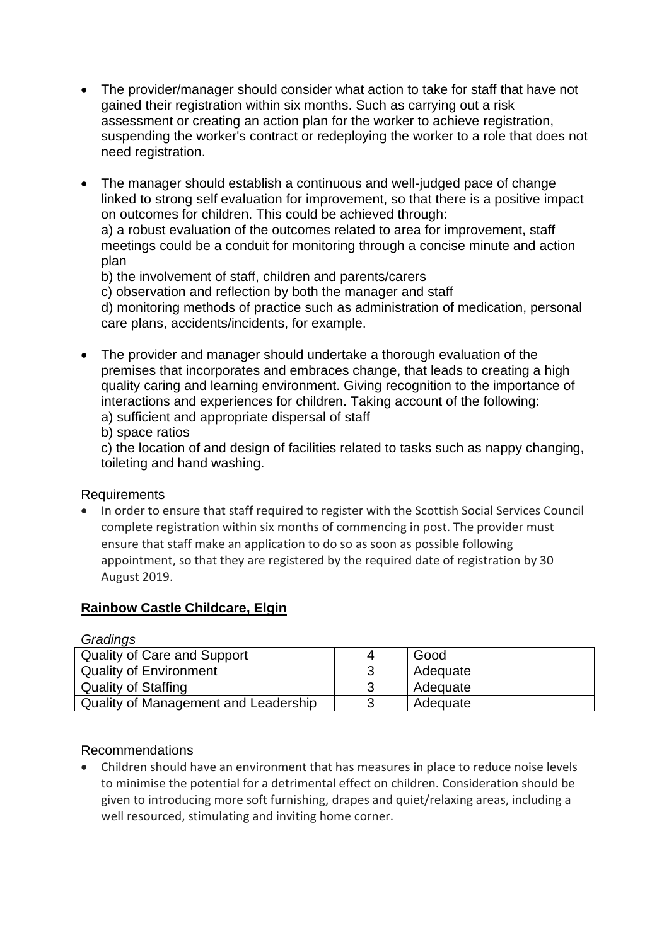- The provider/manager should consider what action to take for staff that have not gained their registration within six months. Such as carrying out a risk assessment or creating an action plan for the worker to achieve registration, suspending the worker's contract or redeploying the worker to a role that does not need registration.
- The manager should establish a continuous and well-judged pace of change linked to strong self evaluation for improvement, so that there is a positive impact on outcomes for children. This could be achieved through: a) a robust evaluation of the outcomes related to area for improvement, staff meetings could be a conduit for monitoring through a concise minute and action

plan

b) the involvement of staff, children and parents/carers

c) observation and reflection by both the manager and staff

d) monitoring methods of practice such as administration of medication, personal care plans, accidents/incidents, for example.

• The provider and manager should undertake a thorough evaluation of the premises that incorporates and embraces change, that leads to creating a high quality caring and learning environment. Giving recognition to the importance of interactions and experiences for children. Taking account of the following: a) sufficient and appropriate dispersal of staff

b) space ratios

c) the location of and design of facilities related to tasks such as nappy changing, toileting and hand washing.

## Requirements

• In order to ensure that staff required to register with the Scottish Social Services Council complete registration within six months of commencing in post. The provider must ensure that staff make an application to do so as soon as possible following appointment, so that they are registered by the required date of registration by 30 August 2019.

# **Rainbow Castle Childcare, Elgin**

| Gradings                             |          |
|--------------------------------------|----------|
| <b>Quality of Care and Support</b>   | Good     |
| <b>Quality of Environment</b>        | Adequate |
| <b>Quality of Staffing</b>           | Adequate |
| Quality of Management and Leadership | Adequate |

*Gradings*

## Recommendations

• Children should have an environment that has measures in place to reduce noise levels to minimise the potential for a detrimental effect on children. Consideration should be given to introducing more soft furnishing, drapes and quiet/relaxing areas, including a well resourced, stimulating and inviting home corner.